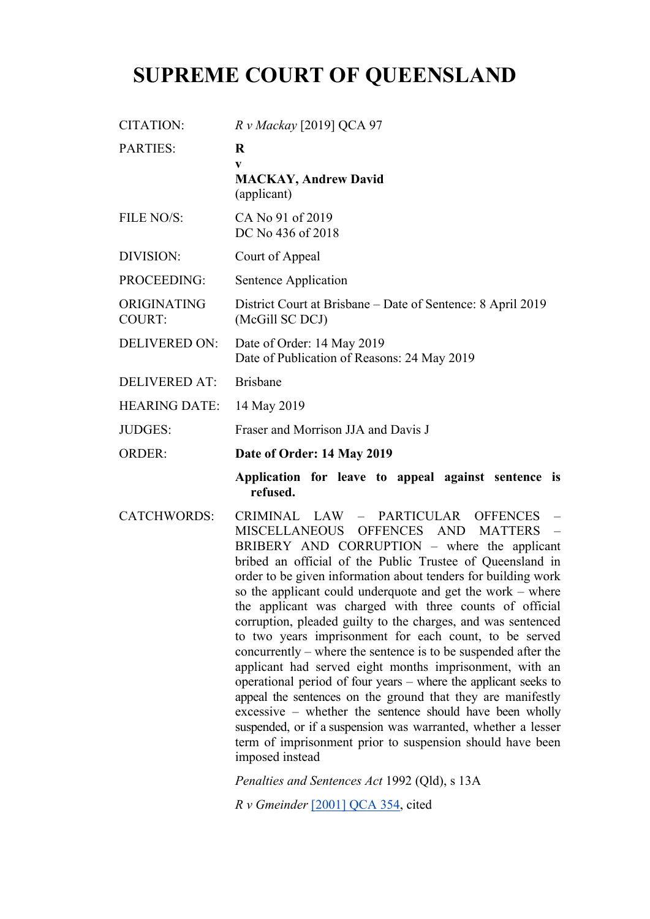## **SUPREME COURT OF QUEENSLAND**

| CITATION:                    | R v Mackay [2019] QCA 97                                                                                                                                                                                                                                                                                                                                                                                                                                                                                                                                                                                                                                                          |
|------------------------------|-----------------------------------------------------------------------------------------------------------------------------------------------------------------------------------------------------------------------------------------------------------------------------------------------------------------------------------------------------------------------------------------------------------------------------------------------------------------------------------------------------------------------------------------------------------------------------------------------------------------------------------------------------------------------------------|
| <b>PARTIES:</b>              | $\bf R$<br>V                                                                                                                                                                                                                                                                                                                                                                                                                                                                                                                                                                                                                                                                      |
|                              | <b>MACKAY, Andrew David</b><br>(applicant)                                                                                                                                                                                                                                                                                                                                                                                                                                                                                                                                                                                                                                        |
| FILE NO/S:                   | CA No 91 of 2019<br>DC No 436 of 2018                                                                                                                                                                                                                                                                                                                                                                                                                                                                                                                                                                                                                                             |
| <b>DIVISION:</b>             | Court of Appeal                                                                                                                                                                                                                                                                                                                                                                                                                                                                                                                                                                                                                                                                   |
| <b>PROCEEDING:</b>           | Sentence Application                                                                                                                                                                                                                                                                                                                                                                                                                                                                                                                                                                                                                                                              |
| ORIGINATING<br><b>COURT:</b> | District Court at Brisbane – Date of Sentence: 8 April 2019<br>(McGill SC DCJ)                                                                                                                                                                                                                                                                                                                                                                                                                                                                                                                                                                                                    |
| <b>DELIVERED ON:</b>         | Date of Order: 14 May 2019<br>Date of Publication of Reasons: 24 May 2019                                                                                                                                                                                                                                                                                                                                                                                                                                                                                                                                                                                                         |
| <b>DELIVERED AT:</b>         | <b>Brisbane</b>                                                                                                                                                                                                                                                                                                                                                                                                                                                                                                                                                                                                                                                                   |
| <b>HEARING DATE:</b>         | 14 May 2019                                                                                                                                                                                                                                                                                                                                                                                                                                                                                                                                                                                                                                                                       |
| <b>JUDGES:</b>               | Fraser and Morrison JJA and Davis J                                                                                                                                                                                                                                                                                                                                                                                                                                                                                                                                                                                                                                               |
| <b>ORDER:</b>                | Date of Order: 14 May 2019                                                                                                                                                                                                                                                                                                                                                                                                                                                                                                                                                                                                                                                        |
|                              | Application for leave to appeal against sentence is<br>refused.                                                                                                                                                                                                                                                                                                                                                                                                                                                                                                                                                                                                                   |
| <b>CATCHWORDS:</b>           | CRIMINAL LAW -<br>PARTICULAR<br><b>OFFENCES</b><br>MISCELLANEOUS<br><b>OFFENCES</b><br><b>AND</b><br><b>MATTERS</b><br>BRIBERY AND CORRUPTION – where the applicant<br>bribed an official of the Public Trustee of Queensland in<br>order to be given information about tenders for building work<br>so the applicant could underquote and get the work – where<br>the applicant was charged with three counts of official<br>corruption, pleaded guilty to the charges, and was sentenced<br>to two years imprisonment for each count, to be served<br>concurrently – where the sentence is to be suspended after the<br>applicant had served eight months imprisonment, with an |

*Penalties and Sentences Act* 1992 (Qld), s 13A

*R v Gmeinder* [2001] QCA 354, cited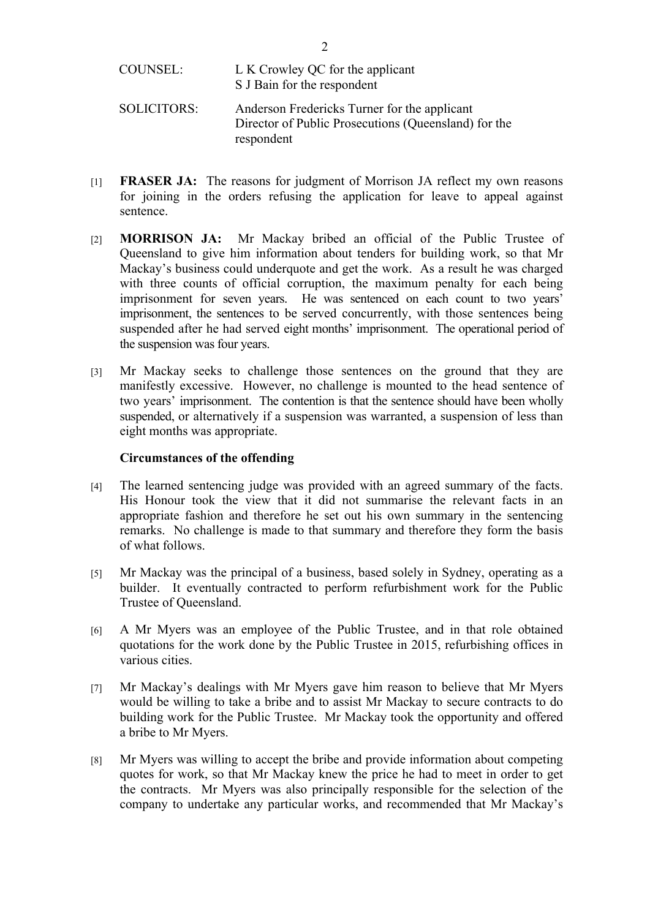respondent

- [1] **FRASER JA:** The reasons for judgment of Morrison JA reflect my own reasons for joining in the orders refusing the application for leave to appeal against sentence.
- [2] **MORRISON JA:** Mr Mackay bribed an official of the Public Trustee of Queensland to give him information about tenders for building work, so that Mr Mackay's business could underquote and get the work. As a result he was charged with three counts of official corruption, the maximum penalty for each being imprisonment for seven years. He was sentenced on each count to two years' imprisonment, the sentences to be served concurrently, with those sentences being suspended after he had served eight months' imprisonment. The operational period of the suspension was four years.
- [3] Mr Mackay seeks to challenge those sentences on the ground that they are manifestly excessive. However, no challenge is mounted to the head sentence of two years' imprisonment. The contention is that the sentence should have been wholly suspended, or alternatively if a suspension was warranted, a suspension of less than eight months was appropriate.

## **Circumstances of the offending**

- [4] The learned sentencing judge was provided with an agreed summary of the facts. His Honour took the view that it did not summarise the relevant facts in an appropriate fashion and therefore he set out his own summary in the sentencing remarks. No challenge is made to that summary and therefore they form the basis of what follows.
- [5] Mr Mackay was the principal of a business, based solely in Sydney, operating as a builder. It eventually contracted to perform refurbishment work for the Public Trustee of Queensland.
- [6] A Mr Myers was an employee of the Public Trustee, and in that role obtained quotations for the work done by the Public Trustee in 2015, refurbishing offices in various cities.
- [7] Mr Mackay's dealings with Mr Myers gave him reason to believe that Mr Myers would be willing to take a bribe and to assist Mr Mackay to secure contracts to do building work for the Public Trustee. Mr Mackay took the opportunity and offered a bribe to Mr Myers.
- [8] Mr Myers was willing to accept the bribe and provide information about competing quotes for work, so that Mr Mackay knew the price he had to meet in order to get the contracts. Mr Myers was also principally responsible for the selection of the company to undertake any particular works, and recommended that Mr Mackay's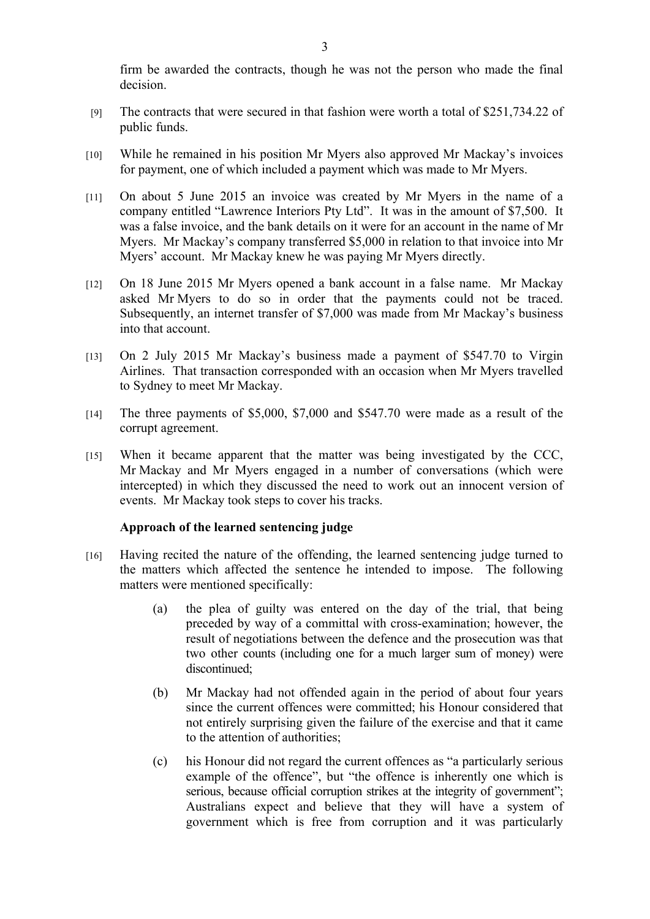firm be awarded the contracts, though he was not the person who made the final decision.

- [9] The contracts that were secured in that fashion were worth a total of \$251,734.22 of public funds.
- [10] While he remained in his position Mr Myers also approved Mr Mackay's invoices for payment, one of which included a payment which was made to Mr Myers.
- [11] On about 5 June 2015 an invoice was created by Mr Myers in the name of a company entitled "Lawrence Interiors Pty Ltd". It was in the amount of \$7,500. It was a false invoice, and the bank details on it were for an account in the name of Mr Myers. Mr Mackay's company transferred \$5,000 in relation to that invoice into Mr Myers' account. Mr Mackay knew he was paying Mr Myers directly.
- [12] On 18 June 2015 Mr Myers opened a bank account in a false name. Mr Mackay asked Mr Myers to do so in order that the payments could not be traced. Subsequently, an internet transfer of \$7,000 was made from Mr Mackay's business into that account.
- [13] On 2 July 2015 Mr Mackay's business made a payment of \$547.70 to Virgin Airlines. That transaction corresponded with an occasion when Mr Myers travelled to Sydney to meet Mr Mackay.
- [14] The three payments of \$5,000, \$7,000 and \$547.70 were made as a result of the corrupt agreement.
- [15] When it became apparent that the matter was being investigated by the CCC, Mr Mackay and Mr Myers engaged in a number of conversations (which were intercepted) in which they discussed the need to work out an innocent version of events. Mr Mackay took steps to cover his tracks.

## **Approach of the learned sentencing judge**

- [16] Having recited the nature of the offending, the learned sentencing judge turned to the matters which affected the sentence he intended to impose. The following matters were mentioned specifically:
	- (a) the plea of guilty was entered on the day of the trial, that being preceded by way of a committal with cross-examination; however, the result of negotiations between the defence and the prosecution was that two other counts (including one for a much larger sum of money) were discontinued;
	- (b) Mr Mackay had not offended again in the period of about four years since the current offences were committed; his Honour considered that not entirely surprising given the failure of the exercise and that it came to the attention of authorities;
	- (c) his Honour did not regard the current offences as "a particularly serious example of the offence", but "the offence is inherently one which is serious, because official corruption strikes at the integrity of government"; Australians expect and believe that they will have a system of government which is free from corruption and it was particularly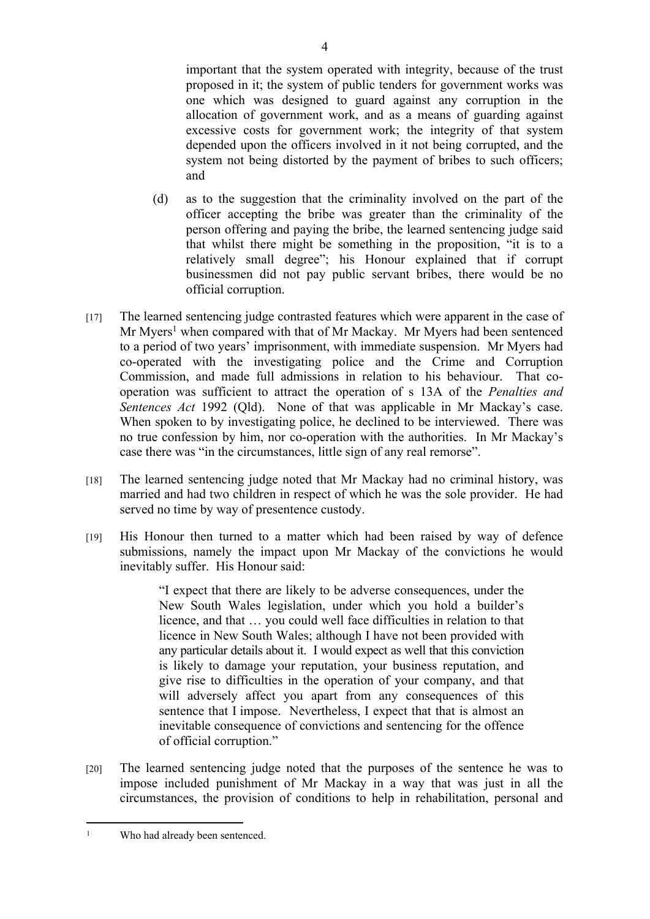important that the system operated with integrity, because of the trust proposed in it; the system of public tenders for government works was one which was designed to guard against any corruption in the allocation of government work, and as a means of guarding against excessive costs for government work; the integrity of that system depended upon the officers involved in it not being corrupted, and the system not being distorted by the payment of bribes to such officers; and

- (d) as to the suggestion that the criminality involved on the part of the officer accepting the bribe was greater than the criminality of the person offering and paying the bribe, the learned sentencing judge said that whilst there might be something in the proposition, "it is to a relatively small degree"; his Honour explained that if corrupt businessmen did not pay public servant bribes, there would be no official corruption.
- [17] The learned sentencing judge contrasted features which were apparent in the case of Mr Myers<sup>1</sup> when compared with that of Mr Mackay. Mr Myers had been sentenced to a period of two years' imprisonment, with immediate suspension. Mr Myers had co-operated with the investigating police and the Crime and Corruption Commission, and made full admissions in relation to his behaviour. That cooperation was sufficient to attract the operation of s 13A of the *Penalties and Sentences Act* 1992 (Qld). None of that was applicable in Mr Mackay's case. When spoken to by investigating police, he declined to be interviewed. There was no true confession by him, nor co-operation with the authorities. In Mr Mackay's case there was "in the circumstances, little sign of any real remorse".
- [18] The learned sentencing judge noted that Mr Mackay had no criminal history, was married and had two children in respect of which he was the sole provider. He had served no time by way of presentence custody.
- [19] His Honour then turned to a matter which had been raised by way of defence submissions, namely the impact upon Mr Mackay of the convictions he would inevitably suffer. His Honour said:

"I expect that there are likely to be adverse consequences, under the New South Wales legislation, under which you hold a builder's licence, and that … you could well face difficulties in relation to that licence in New South Wales; although I have not been provided with any particular details about it. I would expect as well that this conviction is likely to damage your reputation, your business reputation, and give rise to difficulties in the operation of your company, and that will adversely affect you apart from any consequences of this sentence that I impose. Nevertheless, I expect that that is almost an inevitable consequence of convictions and sentencing for the offence of official corruption."

[20] The learned sentencing judge noted that the purposes of the sentence he was to impose included punishment of Mr Mackay in a way that was just in all the circumstances, the provision of conditions to help in rehabilitation, personal and

<sup>1</sup> Who had already been sentenced.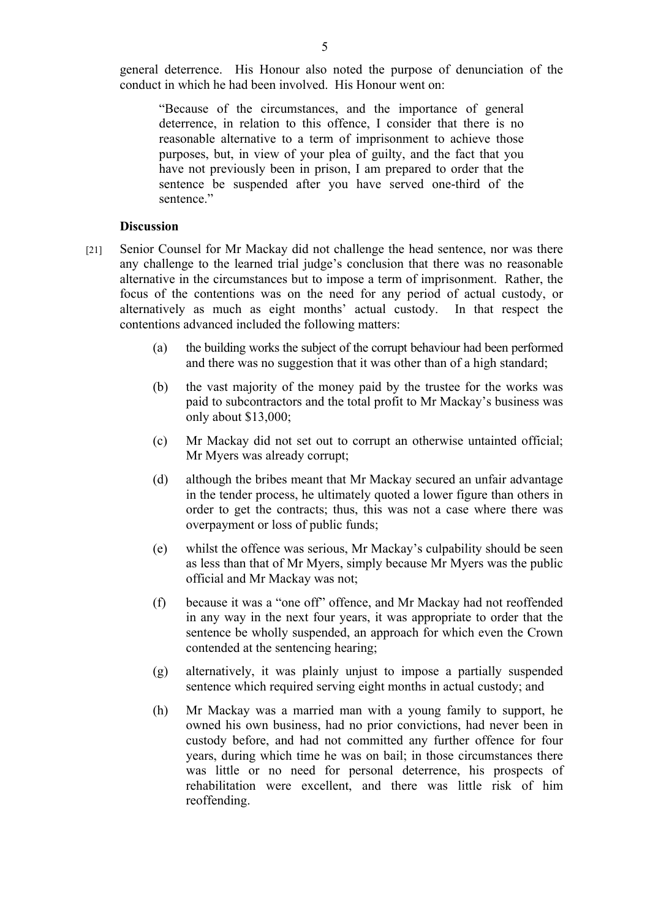general deterrence. His Honour also noted the purpose of denunciation of the conduct in which he had been involved. His Honour went on:

"Because of the circumstances, and the importance of general deterrence, in relation to this offence, I consider that there is no reasonable alternative to a term of imprisonment to achieve those purposes, but, in view of your plea of guilty, and the fact that you have not previously been in prison, I am prepared to order that the sentence be suspended after you have served one-third of the sentence"

## **Discussion**

- [21] Senior Counsel for Mr Mackay did not challenge the head sentence, nor was there any challenge to the learned trial judge's conclusion that there was no reasonable alternative in the circumstances but to impose a term of imprisonment. Rather, the focus of the contentions was on the need for any period of actual custody, or alternatively as much as eight months' actual custody. In that respect the contentions advanced included the following matters:
	- (a) the building works the subject of the corrupt behaviour had been performed and there was no suggestion that it was other than of a high standard;
	- (b) the vast majority of the money paid by the trustee for the works was paid to subcontractors and the total profit to Mr Mackay's business was only about \$13,000;
	- (c) Mr Mackay did not set out to corrupt an otherwise untainted official; Mr Myers was already corrupt;
	- (d) although the bribes meant that Mr Mackay secured an unfair advantage in the tender process, he ultimately quoted a lower figure than others in order to get the contracts; thus, this was not a case where there was overpayment or loss of public funds;
	- (e) whilst the offence was serious, Mr Mackay's culpability should be seen as less than that of Mr Myers, simply because Mr Myers was the public official and Mr Mackay was not;
	- (f) because it was a "one off" offence, and Mr Mackay had not reoffended in any way in the next four years, it was appropriate to order that the sentence be wholly suspended, an approach for which even the Crown contended at the sentencing hearing;
	- (g) alternatively, it was plainly unjust to impose a partially suspended sentence which required serving eight months in actual custody; and
	- (h) Mr Mackay was a married man with a young family to support, he owned his own business, had no prior convictions, had never been in custody before, and had not committed any further offence for four years, during which time he was on bail; in those circumstances there was little or no need for personal deterrence, his prospects of rehabilitation were excellent, and there was little risk of him reoffending.